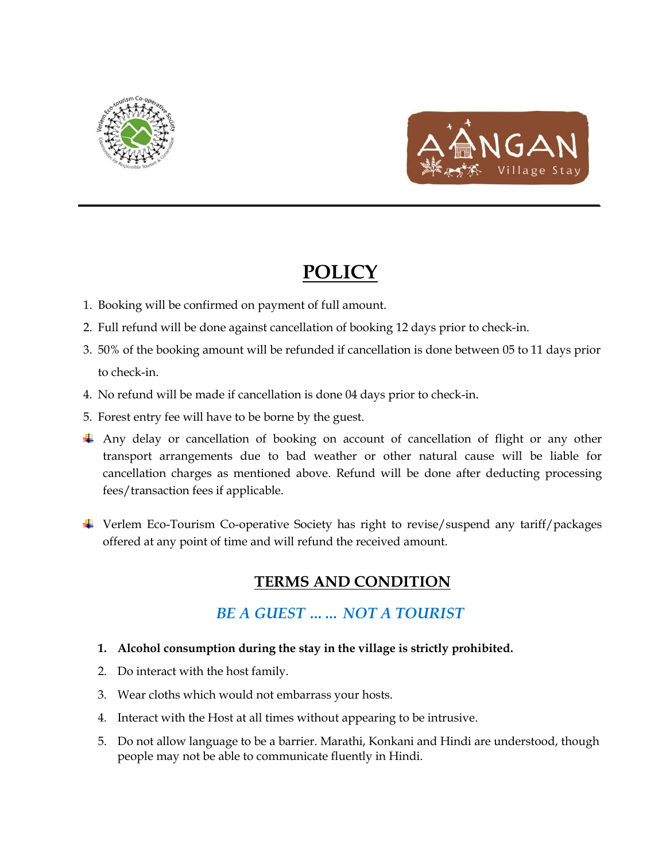



## **POLICY**

**\_\_\_\_\_\_\_\_\_\_\_\_\_\_\_\_\_\_\_\_\_\_\_\_\_\_\_\_\_\_\_\_\_\_\_\_\_\_\_\_\_\_\_\_\_\_\_\_\_\_\_\_\_\_\_\_\_\_\_\_**

- 1. Booking will be confirmed on payment of full amount.
- 2. Full refund will be done against cancellation of booking 12 days prior to check-in.
- 3. 50% of the booking amount will be refunded if cancellation is done between 05 to 11 days prior to check-in.
- 4. No refund will be made if cancellation is done 04 days prior to check-in.
- 5. Forest entry fee will have to be borne by the guest.
- Any delay or cancellation of booking on account of cancellation of flight or any other transport arrangements due to bad weather or other natural cause will be liable for cancellation charges as mentioned above. Refund will be done after deducting processing fees/transaction fees if applicable.
- Verlem Eco-Tourism Co-operative Society has right to revise/suspend any tariff/packages offered at any point of time and will refund the received amount.

## **TERMS AND CONDITION**

## *BE A GUEST …… NOT A TOURIST*

- **1. Alcohol consumption during the stay in the village is strictly prohibited.**
- 2. Do interact with the host family.
- 3. Wear cloths which would not embarrass your hosts.
- 4. Interact with the Host at all times without appearing to be intrusive.
- 5. Do not allow language to be a barrier. Marathi, Konkani and Hindi are understood, though people may not be able to communicate fluently in Hindi.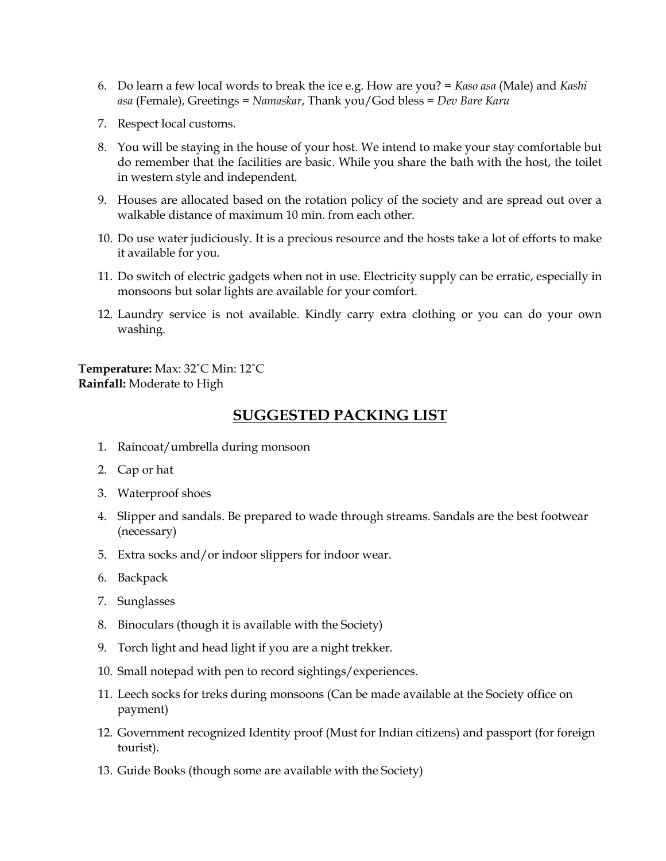- 6. Do learn a few local words to break the ice e.g. How are you? = *Kaso asa* (Male) and *Kashi asa* (Female), Greetings = *Namaskar*, Thank you/God bless = *Dev Bare Karu*
- 7. Respect local customs.
- 8. You will be staying in the house of your host. We intend to make your stay comfortable but do remember that the facilities are basic. While you share the bath with the host, the toilet in western style and independent.
- 9. Houses are allocated based on the rotation policy of the society and are spread out over a walkable distance of maximum 10 min. from each other.
- 10. Do use water judiciously. It is a precious resource and the hosts take a lot of efforts to make it available for you.
- 11. Do switch of electric gadgets when not in use. Electricity supply can be erratic, especially in monsoons but solar lights are available for your comfort.
- 12. Laundry service is not available. Kindly carry extra clothing or you can do your own washing.

**Temperature:** Max: 32˚C Min: 12˚C **Rainfall:** Moderate to High

## **SUGGESTED PACKING LIST**

- 1. Raincoat/umbrella during monsoon
- 2. Cap or hat
- 3. Waterproof shoes
- 4. Slipper and sandals. Be prepared to wade through streams. Sandals are the best footwear (necessary)
- 5. Extra socks and/or indoor slippers for indoor wear.
- 6. Backpack
- 7. Sunglasses
- 8. Binoculars (though it is available with the Society)
- 9. Torch light and head light if you are a night trekker.
- 10. Small notepad with pen to record sightings/experiences.
- 11. Leech socks for treks during monsoons (Can be made available at the Society office on payment)
- 12. Government recognized Identity proof (Must for Indian citizens) and passport (for foreign tourist).
- 13. Guide Books (though some are available with the Society)